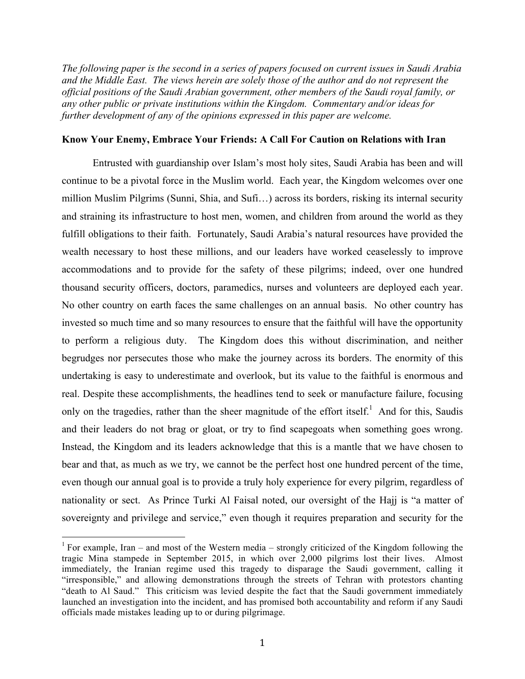*The following paper is the second in a series of papers focused on current issues in Saudi Arabia and the Middle East. The views herein are solely those of the author and do not represent the official positions of the Saudi Arabian government, other members of the Saudi royal family, or any other public or private institutions within the Kingdom. Commentary and/or ideas for further development of any of the opinions expressed in this paper are welcome.*

## **Know Your Enemy, Embrace Your Friends: A Call For Caution on Relations with Iran**

Entrusted with guardianship over Islam's most holy sites, Saudi Arabia has been and will continue to be a pivotal force in the Muslim world. Each year, the Kingdom welcomes over one million Muslim Pilgrims (Sunni, Shia, and Sufi…) across its borders, risking its internal security and straining its infrastructure to host men, women, and children from around the world as they fulfill obligations to their faith. Fortunately, Saudi Arabia's natural resources have provided the wealth necessary to host these millions, and our leaders have worked ceaselessly to improve accommodations and to provide for the safety of these pilgrims; indeed, over one hundred thousand security officers, doctors, paramedics, nurses and volunteers are deployed each year. No other country on earth faces the same challenges on an annual basis. No other country has invested so much time and so many resources to ensure that the faithful will have the opportunity to perform a religious duty. The Kingdom does this without discrimination, and neither begrudges nor persecutes those who make the journey across its borders. The enormity of this undertaking is easy to underestimate and overlook, but its value to the faithful is enormous and real. Despite these accomplishments, the headlines tend to seek or manufacture failure, focusing only on the tragedies, rather than the sheer magnitude of the effort itself.<sup>1</sup> And for this, Saudis and their leaders do not brag or gloat, or try to find scapegoats when something goes wrong. Instead, the Kingdom and its leaders acknowledge that this is a mantle that we have chosen to bear and that, as much as we try, we cannot be the perfect host one hundred percent of the time, even though our annual goal is to provide a truly holy experience for every pilgrim, regardless of nationality or sect. As Prince Turki Al Faisal noted, our oversight of the Hajj is "a matter of sovereignty and privilege and service," even though it requires preparation and security for the

 

<sup>&</sup>lt;sup>1</sup> For example, Iran – and most of the Western media – strongly criticized of the Kingdom following the tragic Mina stampede in September 2015, in which over 2,000 pilgrims lost their lives. Almost immediately, the Iranian regime used this tragedy to disparage the Saudi government, calling it "irresponsible," and allowing demonstrations through the streets of Tehran with protestors chanting "death to Al Saud." This criticism was levied despite the fact that the Saudi government immediately launched an investigation into the incident, and has promised both accountability and reform if any Saudi officials made mistakes leading up to or during pilgrimage.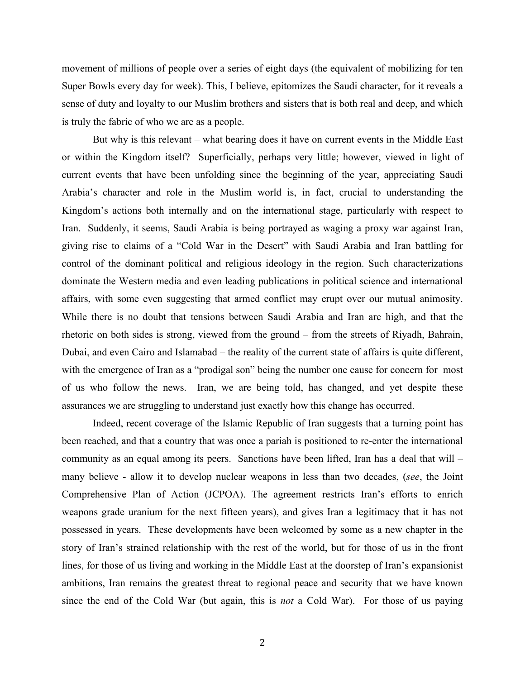movement of millions of people over a series of eight days (the equivalent of mobilizing for ten Super Bowls every day for week). This, I believe, epitomizes the Saudi character, for it reveals a sense of duty and loyalty to our Muslim brothers and sisters that is both real and deep, and which is truly the fabric of who we are as a people.

But why is this relevant – what bearing does it have on current events in the Middle East or within the Kingdom itself? Superficially, perhaps very little; however, viewed in light of current events that have been unfolding since the beginning of the year, appreciating Saudi Arabia's character and role in the Muslim world is, in fact, crucial to understanding the Kingdom's actions both internally and on the international stage, particularly with respect to Iran. Suddenly, it seems, Saudi Arabia is being portrayed as waging a proxy war against Iran, giving rise to claims of a "Cold War in the Desert" with Saudi Arabia and Iran battling for control of the dominant political and religious ideology in the region. Such characterizations dominate the Western media and even leading publications in political science and international affairs, with some even suggesting that armed conflict may erupt over our mutual animosity. While there is no doubt that tensions between Saudi Arabia and Iran are high, and that the rhetoric on both sides is strong, viewed from the ground – from the streets of Riyadh, Bahrain, Dubai, and even Cairo and Islamabad – the reality of the current state of affairs is quite different, with the emergence of Iran as a "prodigal son" being the number one cause for concern for most of us who follow the news. Iran, we are being told, has changed, and yet despite these assurances we are struggling to understand just exactly how this change has occurred.

Indeed, recent coverage of the Islamic Republic of Iran suggests that a turning point has been reached, and that a country that was once a pariah is positioned to re-enter the international community as an equal among its peers. Sanctions have been lifted, Iran has a deal that will – many believe - allow it to develop nuclear weapons in less than two decades, (*see*, the Joint Comprehensive Plan of Action (JCPOA). The agreement restricts Iran's efforts to enrich weapons grade uranium for the next fifteen years), and gives Iran a legitimacy that it has not possessed in years. These developments have been welcomed by some as a new chapter in the story of Iran's strained relationship with the rest of the world, but for those of us in the front lines, for those of us living and working in the Middle East at the doorstep of Iran's expansionist ambitions, Iran remains the greatest threat to regional peace and security that we have known since the end of the Cold War (but again, this is *not* a Cold War). For those of us paying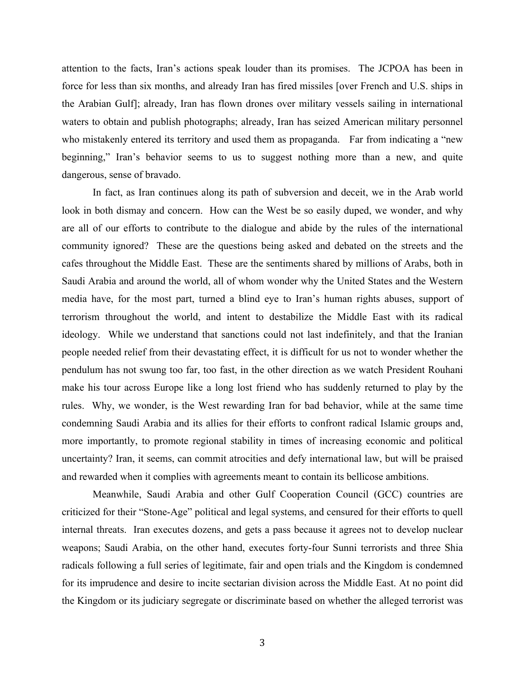attention to the facts, Iran's actions speak louder than its promises. The JCPOA has been in force for less than six months, and already Iran has fired missiles [over French and U.S. ships in the Arabian Gulf]; already, Iran has flown drones over military vessels sailing in international waters to obtain and publish photographs; already, Iran has seized American military personnel who mistakenly entered its territory and used them as propaganda. Far from indicating a "new beginning," Iran's behavior seems to us to suggest nothing more than a new, and quite dangerous, sense of bravado.

In fact, as Iran continues along its path of subversion and deceit, we in the Arab world look in both dismay and concern. How can the West be so easily duped, we wonder, and why are all of our efforts to contribute to the dialogue and abide by the rules of the international community ignored? These are the questions being asked and debated on the streets and the cafes throughout the Middle East. These are the sentiments shared by millions of Arabs, both in Saudi Arabia and around the world, all of whom wonder why the United States and the Western media have, for the most part, turned a blind eye to Iran's human rights abuses, support of terrorism throughout the world, and intent to destabilize the Middle East with its radical ideology. While we understand that sanctions could not last indefinitely, and that the Iranian people needed relief from their devastating effect, it is difficult for us not to wonder whether the pendulum has not swung too far, too fast, in the other direction as we watch President Rouhani make his tour across Europe like a long lost friend who has suddenly returned to play by the rules. Why, we wonder, is the West rewarding Iran for bad behavior, while at the same time condemning Saudi Arabia and its allies for their efforts to confront radical Islamic groups and, more importantly, to promote regional stability in times of increasing economic and political uncertainty? Iran, it seems, can commit atrocities and defy international law, but will be praised and rewarded when it complies with agreements meant to contain its bellicose ambitions.

Meanwhile, Saudi Arabia and other Gulf Cooperation Council (GCC) countries are criticized for their "Stone-Age" political and legal systems, and censured for their efforts to quell internal threats. Iran executes dozens, and gets a pass because it agrees not to develop nuclear weapons; Saudi Arabia, on the other hand, executes forty-four Sunni terrorists and three Shia radicals following a full series of legitimate, fair and open trials and the Kingdom is condemned for its imprudence and desire to incite sectarian division across the Middle East. At no point did the Kingdom or its judiciary segregate or discriminate based on whether the alleged terrorist was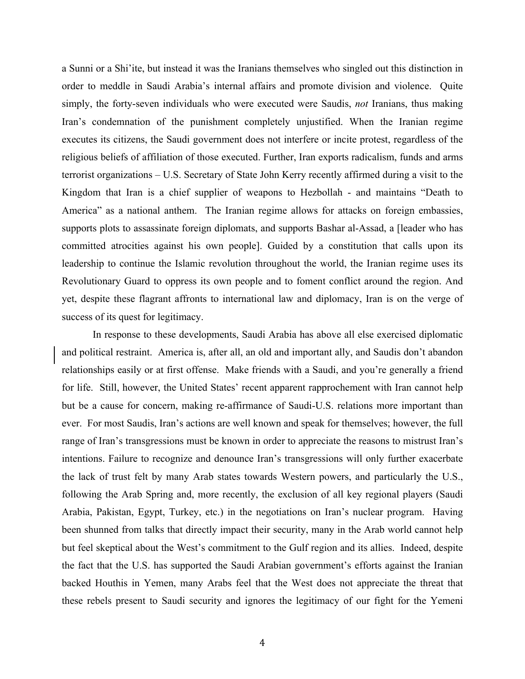a Sunni or a Shi'ite, but instead it was the Iranians themselves who singled out this distinction in order to meddle in Saudi Arabia's internal affairs and promote division and violence. Quite simply, the forty-seven individuals who were executed were Saudis, *not* Iranians, thus making Iran's condemnation of the punishment completely unjustified. When the Iranian regime executes its citizens, the Saudi government does not interfere or incite protest, regardless of the religious beliefs of affiliation of those executed. Further, Iran exports radicalism, funds and arms terrorist organizations – U.S. Secretary of State John Kerry recently affirmed during a visit to the Kingdom that Iran is a chief supplier of weapons to Hezbollah - and maintains "Death to America" as a national anthem. The Iranian regime allows for attacks on foreign embassies, supports plots to assassinate foreign diplomats, and supports Bashar al-Assad, a [leader who has committed atrocities against his own people]. Guided by a constitution that calls upon its leadership to continue the Islamic revolution throughout the world, the Iranian regime uses its Revolutionary Guard to oppress its own people and to foment conflict around the region. And yet, despite these flagrant affronts to international law and diplomacy, Iran is on the verge of success of its quest for legitimacy.

In response to these developments, Saudi Arabia has above all else exercised diplomatic and political restraint. America is, after all, an old and important ally, and Saudis don't abandon relationships easily or at first offense. Make friends with a Saudi, and you're generally a friend for life. Still, however, the United States' recent apparent rapprochement with Iran cannot help but be a cause for concern, making re-affirmance of Saudi-U.S. relations more important than ever. For most Saudis, Iran's actions are well known and speak for themselves; however, the full range of Iran's transgressions must be known in order to appreciate the reasons to mistrust Iran's intentions. Failure to recognize and denounce Iran's transgressions will only further exacerbate the lack of trust felt by many Arab states towards Western powers, and particularly the U.S., following the Arab Spring and, more recently, the exclusion of all key regional players (Saudi Arabia, Pakistan, Egypt, Turkey, etc.) in the negotiations on Iran's nuclear program. Having been shunned from talks that directly impact their security, many in the Arab world cannot help but feel skeptical about the West's commitment to the Gulf region and its allies. Indeed, despite the fact that the U.S. has supported the Saudi Arabian government's efforts against the Iranian backed Houthis in Yemen, many Arabs feel that the West does not appreciate the threat that these rebels present to Saudi security and ignores the legitimacy of our fight for the Yemeni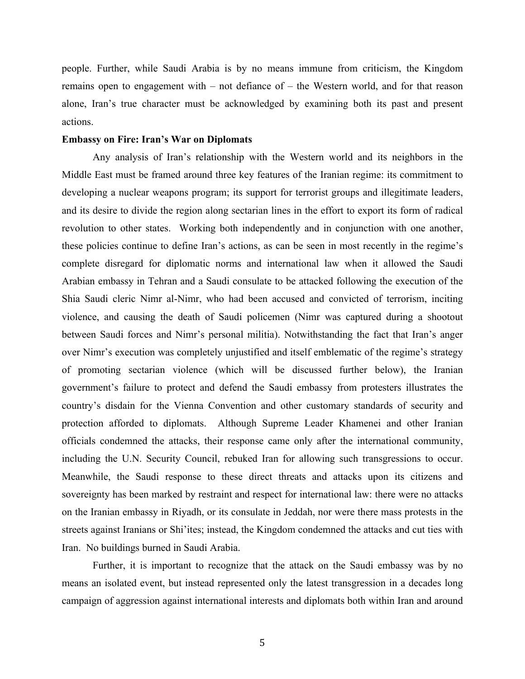people. Further, while Saudi Arabia is by no means immune from criticism, the Kingdom remains open to engagement with – not defiance of – the Western world, and for that reason alone, Iran's true character must be acknowledged by examining both its past and present actions.

## **Embassy on Fire: Iran's War on Diplomats**

Any analysis of Iran's relationship with the Western world and its neighbors in the Middle East must be framed around three key features of the Iranian regime: its commitment to developing a nuclear weapons program; its support for terrorist groups and illegitimate leaders, and its desire to divide the region along sectarian lines in the effort to export its form of radical revolution to other states. Working both independently and in conjunction with one another, these policies continue to define Iran's actions, as can be seen in most recently in the regime's complete disregard for diplomatic norms and international law when it allowed the Saudi Arabian embassy in Tehran and a Saudi consulate to be attacked following the execution of the Shia Saudi cleric Nimr al-Nimr, who had been accused and convicted of terrorism, inciting violence, and causing the death of Saudi policemen (Nimr was captured during a shootout between Saudi forces and Nimr's personal militia). Notwithstanding the fact that Iran's anger over Nimr's execution was completely unjustified and itself emblematic of the regime's strategy of promoting sectarian violence (which will be discussed further below), the Iranian government's failure to protect and defend the Saudi embassy from protesters illustrates the country's disdain for the Vienna Convention and other customary standards of security and protection afforded to diplomats. Although Supreme Leader Khamenei and other Iranian officials condemned the attacks, their response came only after the international community, including the U.N. Security Council, rebuked Iran for allowing such transgressions to occur. Meanwhile, the Saudi response to these direct threats and attacks upon its citizens and sovereignty has been marked by restraint and respect for international law: there were no attacks on the Iranian embassy in Riyadh, or its consulate in Jeddah, nor were there mass protests in the streets against Iranians or Shi'ites; instead, the Kingdom condemned the attacks and cut ties with Iran. No buildings burned in Saudi Arabia.

Further, it is important to recognize that the attack on the Saudi embassy was by no means an isolated event, but instead represented only the latest transgression in a decades long campaign of aggression against international interests and diplomats both within Iran and around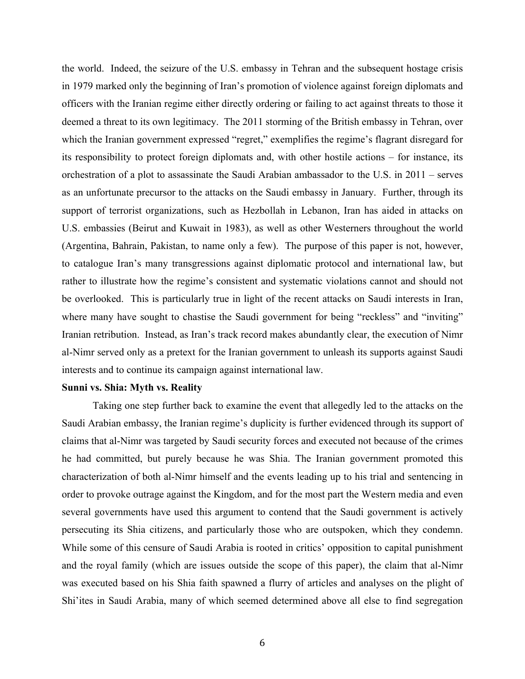the world. Indeed, the seizure of the U.S. embassy in Tehran and the subsequent hostage crisis in 1979 marked only the beginning of Iran's promotion of violence against foreign diplomats and officers with the Iranian regime either directly ordering or failing to act against threats to those it deemed a threat to its own legitimacy. The 2011 storming of the British embassy in Tehran, over which the Iranian government expressed "regret," exemplifies the regime's flagrant disregard for its responsibility to protect foreign diplomats and, with other hostile actions – for instance, its orchestration of a plot to assassinate the Saudi Arabian ambassador to the U.S. in 2011 – serves as an unfortunate precursor to the attacks on the Saudi embassy in January. Further, through its support of terrorist organizations, such as Hezbollah in Lebanon, Iran has aided in attacks on U.S. embassies (Beirut and Kuwait in 1983), as well as other Westerners throughout the world (Argentina, Bahrain, Pakistan, to name only a few). The purpose of this paper is not, however, to catalogue Iran's many transgressions against diplomatic protocol and international law, but rather to illustrate how the regime's consistent and systematic violations cannot and should not be overlooked. This is particularly true in light of the recent attacks on Saudi interests in Iran, where many have sought to chastise the Saudi government for being "reckless" and "inviting" Iranian retribution. Instead, as Iran's track record makes abundantly clear, the execution of Nimr al-Nimr served only as a pretext for the Iranian government to unleash its supports against Saudi interests and to continue its campaign against international law.

## **Sunni vs. Shia: Myth vs. Reality**

Taking one step further back to examine the event that allegedly led to the attacks on the Saudi Arabian embassy, the Iranian regime's duplicity is further evidenced through its support of claims that al-Nimr was targeted by Saudi security forces and executed not because of the crimes he had committed, but purely because he was Shia. The Iranian government promoted this characterization of both al-Nimr himself and the events leading up to his trial and sentencing in order to provoke outrage against the Kingdom, and for the most part the Western media and even several governments have used this argument to contend that the Saudi government is actively persecuting its Shia citizens, and particularly those who are outspoken, which they condemn. While some of this censure of Saudi Arabia is rooted in critics' opposition to capital punishment and the royal family (which are issues outside the scope of this paper), the claim that al-Nimr was executed based on his Shia faith spawned a flurry of articles and analyses on the plight of Shi'ites in Saudi Arabia, many of which seemed determined above all else to find segregation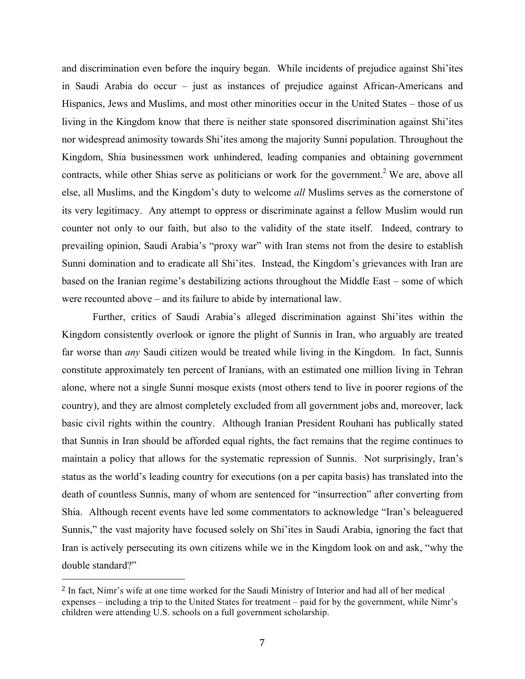and discrimination even before the inquiry began. While incidents of prejudice against Shi'ites in Saudi Arabia do occur – just as instances of prejudice against African-Americans and Hispanics, Jews and Muslims, and most other minorities occur in the United States – those of us living in the Kingdom know that there is neither state sponsored discrimination against Shi'ites nor widespread animosity towards Shi'ites among the majority Sunni population. Throughout the Kingdom, Shia businessmen work unhindered, leading companies and obtaining government contracts, while other Shias serve as politicians or work for the government.<sup>2</sup> We are, above all else, all Muslims, and the Kingdom's duty to welcome *all* Muslims serves as the cornerstone of its very legitimacy. Any attempt to oppress or discriminate against a fellow Muslim would run counter not only to our faith, but also to the validity of the state itself. Indeed, contrary to prevailing opinion, Saudi Arabia's "proxy war" with Iran stems not from the desire to establish Sunni domination and to eradicate all Shi'ites. Instead, the Kingdom's grievances with Iran are based on the Iranian regime's destabilizing actions throughout the Middle East – some of which were recounted above – and its failure to abide by international law.

Further, critics of Saudi Arabia's alleged discrimination against Shi'ites within the Kingdom consistently overlook or ignore the plight of Sunnis in Iran, who arguably are treated far worse than *any* Saudi citizen would be treated while living in the Kingdom. In fact, Sunnis constitute approximately ten percent of Iranians, with an estimated one million living in Tehran alone, where not a single Sunni mosque exists (most others tend to live in poorer regions of the country), and they are almost completely excluded from all government jobs and, moreover, lack basic civil rights within the country. Although Iranian President Rouhani has publically stated that Sunnis in Iran should be afforded equal rights, the fact remains that the regime continues to maintain a policy that allows for the systematic repression of Sunnis. Not surprisingly, Iran's status as the world's leading country for executions (on a per capita basis) has translated into the death of countless Sunnis, many of whom are sentenced for "insurrection" after converting from Shia. Although recent events have led some commentators to acknowledge "Iran's beleaguered Sunnis," the vast majority have focused solely on Shi'ites in Saudi Arabia, ignoring the fact that Iran is actively persecuting its own citizens while we in the Kingdom look on and ask, "why the double standard?"

 

<sup>2</sup> In fact, Nimr's wife at one time worked for the Saudi Ministry of Interior and had all of her medical expenses – including a trip to the United States for treatment – paid for by the government, while Nimr's children were attending U.S. schools on a full government scholarship.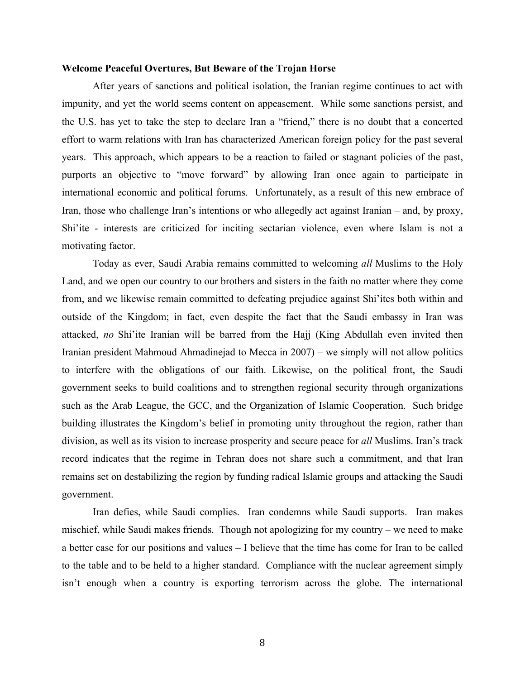## **Welcome Peaceful Overtures, But Beware of the Trojan Horse**

After years of sanctions and political isolation, the Iranian regime continues to act with impunity, and yet the world seems content on appeasement. While some sanctions persist, and the U.S. has yet to take the step to declare Iran a "friend," there is no doubt that a concerted effort to warm relations with Iran has characterized American foreign policy for the past several years. This approach, which appears to be a reaction to failed or stagnant policies of the past, purports an objective to "move forward" by allowing Iran once again to participate in international economic and political forums. Unfortunately, as a result of this new embrace of Iran, those who challenge Iran's intentions or who allegedly act against Iranian – and, by proxy, Shi'ite - interests are criticized for inciting sectarian violence, even where Islam is not a motivating factor.

Today as ever, Saudi Arabia remains committed to welcoming *all* Muslims to the Holy Land, and we open our country to our brothers and sisters in the faith no matter where they come from, and we likewise remain committed to defeating prejudice against Shi'ites both within and outside of the Kingdom; in fact, even despite the fact that the Saudi embassy in Iran was attacked, *no* Shi'ite Iranian will be barred from the Hajj (King Abdullah even invited then Iranian president Mahmoud Ahmadinejad to Mecca in 2007) – we simply will not allow politics to interfere with the obligations of our faith. Likewise, on the political front, the Saudi government seeks to build coalitions and to strengthen regional security through organizations such as the Arab League, the GCC, and the Organization of Islamic Cooperation. Such bridge building illustrates the Kingdom's belief in promoting unity throughout the region, rather than division, as well as its vision to increase prosperity and secure peace for *all* Muslims. Iran's track record indicates that the regime in Tehran does not share such a commitment, and that Iran remains set on destabilizing the region by funding radical Islamic groups and attacking the Saudi government.

Iran defies, while Saudi complies. Iran condemns while Saudi supports. Iran makes mischief, while Saudi makes friends. Though not apologizing for my country – we need to make a better case for our positions and values – I believe that the time has come for Iran to be called to the table and to be held to a higher standard. Compliance with the nuclear agreement simply isn't enough when a country is exporting terrorism across the globe. The international